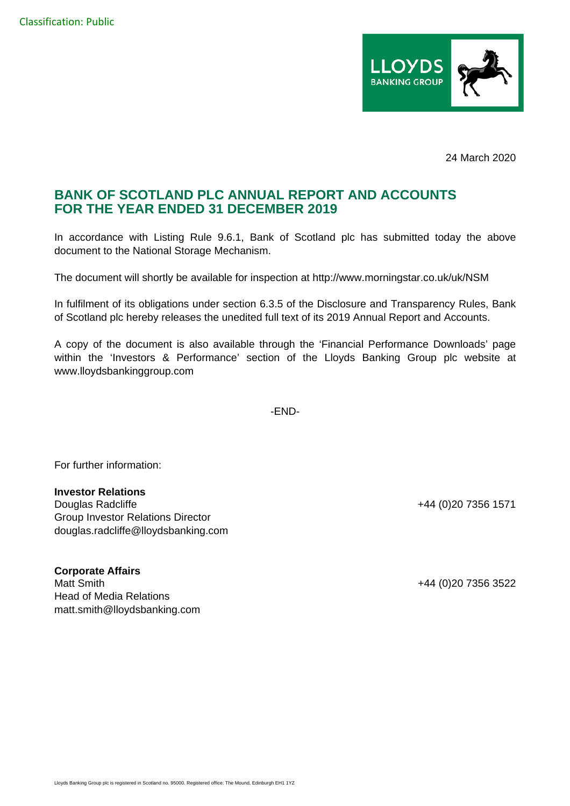

24 March 2020

## **BANK OF SCOTLAND PLC ANNUAL REPORT AND ACCOUNTS FOR THE YEAR ENDED 31 DECEMBER 2019**

In accordance with Listing Rule 9.6.1, Bank of Scotland plc has submitted today the above document to the National Storage Mechanism.

The document will shortly be available for inspection at http://www.morningstar.co.uk/uk/NSM

In fulfilment of its obligations under section 6.3.5 of the Disclosure and Transparency Rules, Bank of Scotland plc hereby releases the unedited full text of its 2019 Annual Report and Accounts.

A copy of the document is also available through the 'Financial Performance Downloads' page within the 'Investors & Performance' section of the Lloyds Banking Group plc website at www.lloydsbankinggroup.com

-END-

For further information:

## **Investor Relations**

Douglas Radcliffe +44 (0)20 7356 1571 Group Investor Relations Director douglas.radcliffe@lloydsbanking.com

**Corporate Affairs**  Matt Smith +44 (0)20 7356 3522 Head of Media Relations matt.smith@lloydsbanking.com